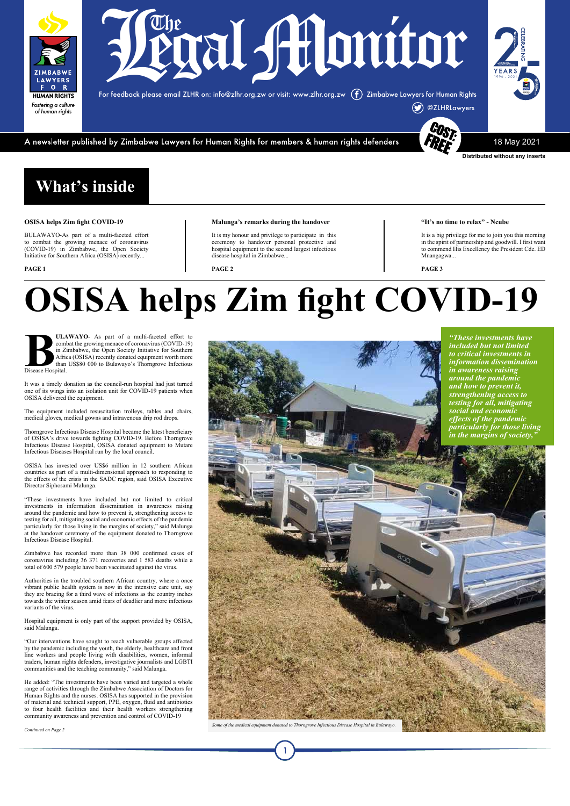### **"It's no time to relax" - Ncube**

It is a big privilege for me to join you this morning in the spirit of partnership and goodwill. I first want to commend His Excellency the President Cde. ED Mnangagwa...

**PAGE 3**

### **What's inside**

### **OSISA helps Zim fight COVID-19**

BULAWAYO-As part of a multi-faceted effort to combat the growing menace of coronavirus (COVID-19) in Zimbabwe, the Open Society Initiative for Southern Africa (OSISA) recently...

**PAGE 1**

### **Malunga's remarks during the handover**

It is my honour and privilege to participate in this ceremony to handover personal protective and hospital equipment to the second largest infectious disease hospital in Zimbabwe...

**BULAWAYO-** As part of a multi-faceted effort to combat the growing menace of coronavirus (COVID-19) in Zimbabwe, the Open Society Initiative for Southern Africa (OSISA) recently donated equipment worth more than US\$80 000 combat the growing menace of coronavirus (COVID-19) in Zimbabwe, the Open Society Initiative for Southern Africa (OSISA) recently donated equipment worth more than US\$80 000 to Bulawayo's Thorngrove Infectious Disease Hospital.

**PAGE 2**

### **OSISA helps Zim fight COVID-19**



**Distributed without any inserts**

For feedback please email ZLHR on: info@zlhr.org.zw or visit: www.zlhr.org.zw Zimbabwe Lawyers for Human Rights



A newsletter published by Zimbabwe Lawyers for Human Rights for members & human rights defenders

18 May 2021



It was a timely donation as the council-run hospital had just turned one of its wings into an isolation unit for COVID-19 patients when OSISA delivered the equipment.

The equipment included resuscitation trolleys, tables and chairs, medical gloves, medical gowns and intravenous drip rod drops.

Thorngrove Infectious Disease Hospital became the latest beneficiary of OSISA's drive towards fighting COVID-19. Before Thorngrove Infectious Disease Hospital, OSISA donated equipment to Mutare Infectious Diseases Hospital run by the local council.

OSISA has invested over US\$6 million in 12 southern African countries as part of a multi-dimensional approach to responding to the effects of the crisis in the SADC region, said OSISA Executive Director Siphosami Malunga.

"These investments have included but not limited to critical investments in information dissemination in awareness raising around the pandemic and how to prevent it, strengthening access to testing for all, mitigating social and economic effects of the pandemic particularly for those living in the margins of society," said Malunga at the handover ceremony of the equipment donated to Thorngrove Infectious Disease Hospital.

Zimbabwe has recorded more than 38 000 confirmed cases of coronavirus including 36 371 recoveries and 1 583 deaths while a total of 600 579 people have been vaccinated against the virus.

Authorities in the troubled southern African country, where a once vibrant public health system is now in the intensive care unit, say they are bracing for a third wave of infections as the country inches towards the winter season amid fears of deadlier and more infectious variants of the virus.

Hospital equipment is only part of the support provided by OSISA, said Malunga.

"Our interventions have sought to reach vulnerable groups affected by the pandemic including the youth, the elderly, healthcare and front line workers and people living with disabilities, women, informal traders, human rights defenders, investigative journalists and LGBTI communities and the teaching community," said Malunga.

He added: "The investments have been varied and targeted a whole range of activities through the Zimbabwe Association of Doctors for Human Rights and the nurses. OSISA has supported in the provision of material and technical support, PPE, oxygen, fluid and antibiotics to four health facilities and their health workers strengthening community awareness and prevention and control of COVID-19

Some of the medical equipment donated to Thorngrove Infectious Disease Hospital in Bulaw

*Continued on Page 2*

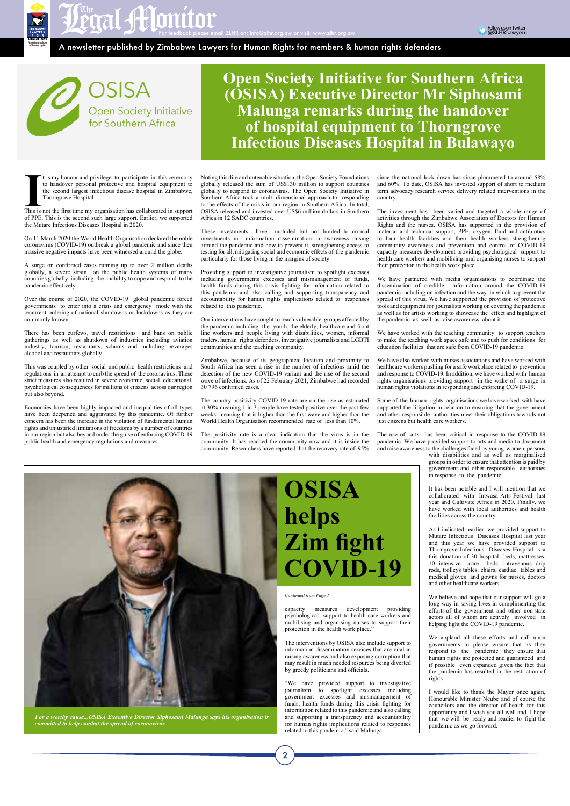In the first time my organisation has collaborated in support the second largest infectious disease hospital in Zimbabwe,<br>Thorngrove Hospital.<br>This is not the first time my organisation has collaborated in support of PDF. **t** is my honour and privilege to participate in this ceremony to handover personal protective and hospital equipment to the second largest infectious disease hospital in Zimbabwe, Thorngrove Hospital.

of PPE. This is the second such large support. Earlier, we supported the Mutare Infectious Diseases Hospital in 2020.

On 11 March 2020 the World Health Organisation declared the noble coronavirus (COVID-19) outbreak a global pandemic and since then massive negative impacts have been witnessed around the globe.

A surge on confirmed cases running up to over 2 million deaths globally, a severe strain on the public health systems of many countries globally including the inability to cope and respond to the pandemic effectively.

Over the course of 2020, the COVID-19 global pandemic forced governments to enter into a crisis and emergency mode with the recurrent ordering of national shutdowns or lockdowns as they are commonly known.

There has been curfews, travel restrictions and bans on public gatherings as well as shutdown of industries including aviation industry, tourism, restaurants, schools and including beverages alcohol and restaurants globally.

This was coupled by other social and public health restrictions and regulations in an attempt to curb the spread of the coronavirus. These strict measures also resulted in severe economic, social, educational, psychological consequences for millions of citizens across our region but also beyond.

Economies have been highly impacted and inequalities of all types have been deepened and aggravated by this pandemic. Of further concern has been the increase in the violation of fundamental human rights and unjustified limitations of freedoms by a number of countries in our region but also beyond under the guise of enforcing COVID-19 public health and emergency regulations and measures.

Noting this dire and untenable situation, the Open Society Foundations globally released the sum of US\$130 million to support countries globally to respond to coronavirus. The Open Society Initiative in Southern Africa took a multi-dimensional approach to responding to the effects of the crisis in our region in Southern Africa. In total, OSISA released and invested over US\$6 million dollars in Southern Africa in 12 SADC countries.

These investments have included but not limited to critical investments in information dissemination in awareness raising around the pandemic and how to prevent it, strengthening access to testing for all, mitigating social and economic effects of the pandemic particularly for those living in the margins of society.

Providing support to investigative journalism to spotlight excesses including governments excesses and mismanagement of funds, health funds during this crisis fighting for information related to this pandemic and also calling and supporting transparency and accountability for human rights implications related to responses related to this pandemic.

Our interventions have sought to reach vulnerable groups affected by the pandemic including the youth, the elderly, healthcare and front line workers and people living with disabilities, women, informal traders, human rights defenders, investigative journalists and LGBTI communities and the teaching community.

Zimbabwe, because of its geographical location and proximity to South Africa has seen a rise in the number of infections amid the detection of the new COVID-19 variant and the rise of the second wave of infections. As of 22 February 2021, Zimbabwe had recorded 30 796 confirmed cases.

The country positivity COVID-19 rate are on the rise as estimated at 30% meaning 1 in 3 people have tested positive over the past few weeks meaning that is higher than the first wave and higher than the World Health Organisation recommended rate of less than 10%.

The positivity rate is a clear indication that the virus is in the community. It has reached the community now and it is inside the community. Researchers have reported that the recovery rate of 95%

 $\overline{2}$ 

since the national lock down has since plummeted to around 58% and 60%. To date, OSISA has invested support of short to medium term advocacy research service delivery related interventions in the country.

The investment has been varied and targeted a whole range of activities through the Zimbabwe Association of Doctors for Human Rights and the nurses. OSISA has supported in the provision of material and technical support, PPE, oxygen, fluid and antibiotics to four health facilities and their health workers strengthening community awareness and prevention and control of COVID-19 capacity measures development providing psychological support to health care workers and mobilising and organising nurses to support their protection in the health work place.

We have partnered with media organisations to coordinate the dissemination of credible information around the COVID-19 pandemic including on infection and the way in which to prevent the spread of this virus. We have supported the provision of protective tools and equipment for journalists working on covering the pandemic as well as for artists working to showcase the effect and highlight of the pandemic as well as raise awareness about it.

We have worked with the teaching community to support teachers to make the teaching work space safe and to push for conditions for education facilities that are safe from COVID-19 pandemic.

We have also worked with nurses associations and have worked with healthcare workers pushing for a safe workplace related to prevention and response to COVID-19. In addition, we have worked with human rights organisations providing support in the wake of a surge in human rights violations in responding and enforcing COVID-19.

Some of the human rights organisations we have worked with have supported the litigation in relation to ensuring that the government and other responsible authorities meet their obligations towards not just citizens but health care workers.

The use of arts has been critical in response to the COVID-19 pandemic. We have provided support to arts and media to document and raise awareness to the challenges faced by young women, persons

with disabilities and as well as marginalised groups in order to ensure that attention is paid by government and other responsible authorities in response to the pandemic.

It has been notable and I will mention that we collaborated with Intwasa Arts Festival last year and Cultivate Africa in 2020. Finally, we have worked with local authorities and health facilities across the country.

As I indicated earlier, we provided support to Mutare Infectious Diseases Hospital last year and this year we have provided support to Thorngrove Infectious Diseases Hospital via this donation of 30 hospital beds, mattresses, 10 intensive care beds, intravenous drip rods, trolleys tables, chairs, cardiac tables and medical gloves and gowns for nurses, doctors and other healthcare workers.

We believe and hope that our support will go a long way in saving lives in complimenting the efforts of the government and other non state actors all of whom are actively involved in helping fight the COVID-19 pandemic.

We applaud all these efforts and call upon governments to please ensure that as they respond to the pandemic they ensure that human rights are protected and guaranteed and if possible even expanded given the fact that the pandemic has resulted in the restriction of rights.

I would like to thank the Mayor once again, Honourable Minister Ncube and of course the councilors and the director of health for this opportunity and I wish you all well and I hope that we will be ready and readier to fight the pandemic as we go forward.





**Open Society Initiative for Southern Africa (OSISA) Executive Director Mr Siphosami Malunga remarks during the handover of hospital equipment to Thorngrove Infectious Diseases Hospital in Bulawayo**

*For a worthy cause...OSISA Executive Director Siphosami Malunga says his organisation is committed to help combat the spread of coronavirus*

capacity measures development providing



psychological support to health care workers and mobilising and organising nurses to support their protection in the health work place."

The interventions by OSISA also include support to information dissemination services that are vital in raising awareness and also exposing corruption that may result in much needed resources being diverted by greedy politicians and officials.



"We have provided support to investigative journalism to spotlight excesses including government excesses and mismanagement of funds, health funds during this crisis fighting for information related to this pandemic and also calling and supporting a transparency and accountability for human rights implications related to responses related to this pandemic," said Malunga.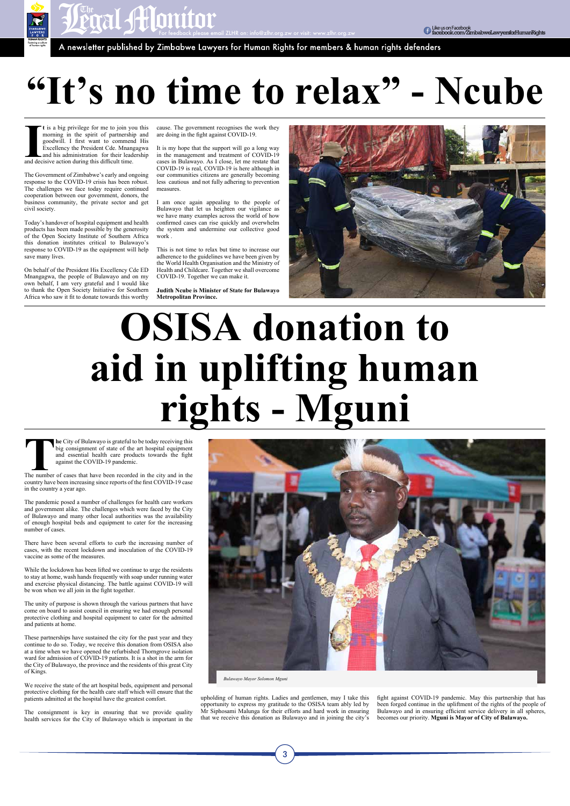**FRAL SHIQMITON**<br>A newsletter published by Zimbabwe Lawyers for Human Rights for members & human rights defenders

**I I** is a big privilege for me to join yo morning in the spirit of partnership goodwill. I first want to comment Excellency the President Cde. Mnang and his administration for their leader and decisive action during thi **t** is a big privilege for me to join you this morning in the spirit of partnership and goodwill. I first want to commend His Excellency the President Cde. Mnangagwa and his administration for their leadership

The Government of Zimbabwe's early and ongoing response to the COVID-19 crisis has been robust. The challenges we face today require continued cooperation between our government, donors, the business community, the private sector and get civil society.

Today's handover of hospital equipment and health products has been made possible by the generosity of the Open Society Institute of Southern Africa this donation institutes critical to Bulawayo's response to COVID-19 as the equipment will help save many lives.

On behalf of the President His Excellency Cde ED Mnangagwa, the people of Bulawayo and on my own behalf, I am very grateful and I would like to thank the Open Society Initiative for Southern Africa who saw it fit to donate towards this worthy

cause. The government recognises the work they are doing in the fight against COVID-19.

**The** City of Bulawayo is grateful to be today receiving this big consignment of state of the art hospital equipment and essential health care products towards the fight against the COVID-19 pandemic.<br>The number of cases t big consignment of state of the art hospital equipment and essential health care products towards the fight against the COVID-19 pandemic.

It is my hope that the support will go a long way in the management and treatment of COVID-19 cases in Bulawayo. As I close, let me restate that COVID-19 is real, COVID-19 is here although in our communities citizens are generally becoming less cautious and not fully adhering to prevention measures.

I am once again appealing to the people of Bulawayo that let us heighten our vigilance as we have many examples across the world of how confirmed cases can rise quickly and overwhelm the system and undermine our collective good work .

This is not time to relax but time to increase our adherence to the guidelines we have been given by the World Health Organisation and the Ministry of Health and Childcare. Together we shall overcome COVID-19. Together we can make it.

**Judith Ncube is Minister of State for Bulawayo Metropolitan Province.**



*Fostering a culture of human rights*

### **"It's no time to relax" - Ncube**

## **OSISA donation to aid in uplifting human rights - Mguni**

country have been increasing since reports of the first COVID-19 case in the country a year ago.

The pandemic posed a number of challenges for health care workers and government alike. The challenges which were faced by the City of Bulawayo and many other local authorities was the availability of enough hospital beds and equipment to cater for the increasing number of cases.

There have been several efforts to curb the increasing number of cases, with the recent lockdown and inoculation of the COVID-19 vaccine as some of the measures.

While the lockdown has been lifted we continue to urge the residents to stay at home, wash hands frequently with soap under running water and exercise physical distancing. The battle against COVID-19 will be won when we all join in the fight together.

The unity of purpose is shown through the various partners that have

come on board to assist council in ensuring we had enough personal protective clothing and hospital equipment to cater for the admitted and patients at home.

These partnerships have sustained the city for the past year and they continue to do so. Today, we receive this donation from OSISA also at a time when we have opened the refurbished Thorngrove isolation ward for admission of COVID-19 patients. It is a shot in the arm for the City of Bulawayo, the province and the residents of this great City of Kings.

We receive the state of the art hospital beds, equipment and personal protective clothing for the health care staff which will ensure that the patients admitted at the hospital have the greatest comfort.

The consignment is key in ensuring that we provide quality health services for the City of Bulawayo which is important in the

upholding of human rights. Ladies and gentlemen, may I take this opportunity to express my gratitude to the OSISA team ably led by Mr Siphosami Malunga for their efforts and hard work in ensuring that we receive this donation as Bulawayo and in joining the city's

3

fight against COVID-19 pandemic. May this partnership that has been forged continue in the upliftment of the rights of the people of Bulawayo and in ensuring efficient service delivery in all spheres, becomes our priority. **Mguni is Mayor of City of Bulawayo.**